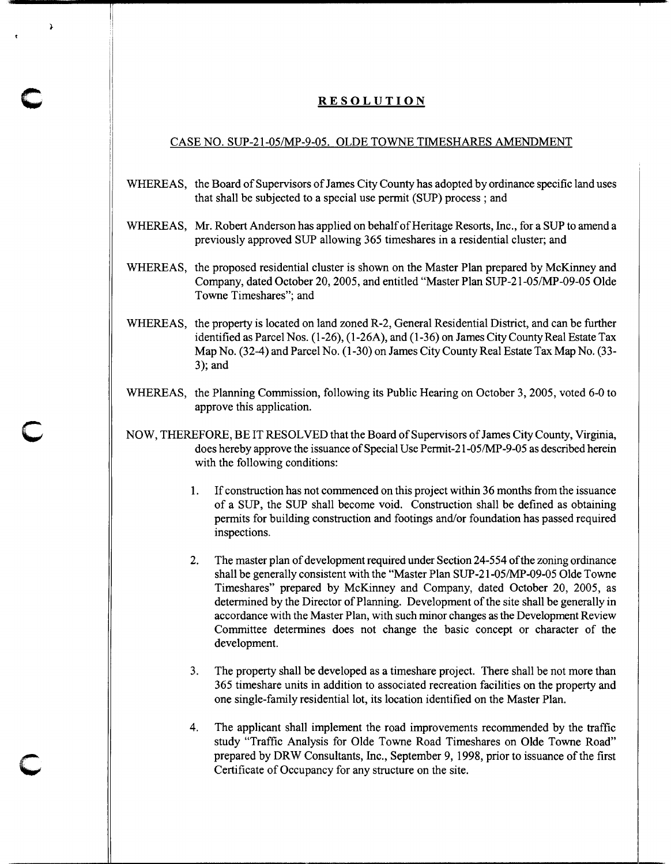## **RESOLUTION**

**c** 

**c** 

**c** 

## CASE NO. SUP-21-05/MP-9-05. OLDE TOWNE TIMESHARES AMENDMENT

- WHEREAS, the Board of Supervisors of James City County has adopted by ordinance specific land uses that shall be subjected to a special use permit (SUP) process ; and
- WHEREAS, Mr. Robert Anderson has applied on behalf of Heritage Resorts, Inc., for a SUP to amend a previously approved SUP allowing 365 timeshares in a residential cluster; and
- WHEREAS, the proposed residential cluster is shown on the Master Plan prepared by McKinney and Company, dated October 20, 2005, and entitled "Master Plan SUP-21-05/MP-09-05 Olde Towne Timeshares"; and
- WHEREAS, the property is located on land zoned R-2, General Residential District, and can be further identified as Parcel Nos. (1-26), (1-26A), and (1-36) on James City County Real Estate Tax Map No. (32-4) and Parcel No. (1-30) on James City County Real Estate Tax Map No. (33- 3); and
- WHEREAS, the Planning Commission, following its Public Hearing on October 3, 2005, voted 6-0 to approve this application.
- NOW, THEREFORE, BE IT RESOLVED that the Board of Supervisors of James City County, Virginia, does hereby approve the issuance of Special Use Permit-21-05/MP-9-05 as described herein with the following conditions:
	- **1.** If construction has not commenced on this project within 36 months from the issuance of a SUP, the SUP shall become void. Construction shall be defined as obtaining permits for building construction and footings and/or foundation has passed required inspections.
	- 2. The master plan of development required under Section 24-554 of the zoning ordinance shall be generally consistent with the "Master Plan SUP-21-05/MP-09-05 Olde Towne Timeshares" prepared by McKinney and Company, dated October 20, 2005, as determined by the Director of Planning. Development of the site shall be generally in accordance with the Master Plan, with such minor changes as the Development Review Committee determines does not change the basic concept or character of the development.
	- 3. The property shall be developed as a timeshare project. There shall be not more than 365 timeshare units in addition to associated recreation facilities on the property and one single-family residential lot, its location identified on the Master Plan.
	- 4. The applicant shall implement the road improvements recommended by the traffic study "Traffic Analysis for Olde Towne Road Timeshares on Olde Towne Road" prepared by DRW Consultants, Inc., September 9, 1998, prior to issuance of the first Certificate of Occupancy for any structure on the site.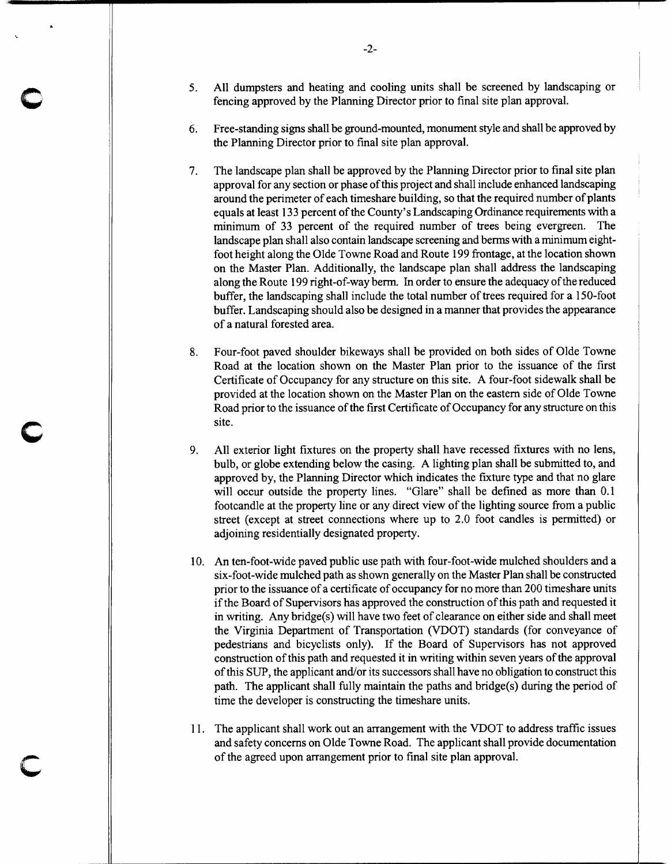- 5. All dumpsters and heating and cooling units shall be screened by landscaping or fencing approved by the Planning Director prior to final site plan approval.
- 6. Free-standing signs shall be ground-mounted, monument style and shall be approved by the Planning Director prior to final site plan approval.
- 7. The landscape plan shall be approved by the Planning Director prior to final site plan approval for any section or phase of this project and shall include enhanced landscaping around the perimeter of each timeshare building, so that the required number of plants equals at least 13 3 percent of the County's Landscaping Ordinance requirements with a minimum of 33 percent of the required number of trees being evergreen. The landscape plan shall also contain landscape screening and berms with a minimum eightfoot height along the Olde Towne Road and Route 199 frontage, at the location shown on the Master Plan. Additionally, the landscape plan shall address the landscaping along the Route 199 right-of-way berm. In order to ensure the adequacy of the reduced buffer, the landscaping shall include the total number of trees required for a 150-foot buffer. Landscaping should also be designed in a manner that provides the appearance of a natural forested area.
- 8. Four-foot paved shoulder bikeways shall be provided on both sides of Olde Towne Road at the location shown on the Master Plan prior to the issuance of the first Certificate of Occupancy for any structure on this site. A four-foot sidewalk shall be provided at the location shown on the Master Plan on the eastern side of Olde Towne Road prior to the issuance of the first Certificate of Occupancy for any structure on this site.
- 9. All exterior light fixtures on the property shall have recessed fixtures with no lens, bulb, or globe extending below the casing. A lighting plan shall be submitted to, and approved by, the Planning Director which indicates the fixture type and that no glare will occur outside the property lines. "Glare" shall be defined as more than  $0.1$ footcandle at the property line or any direct view of the lighting source from a public street (except at street connections where up to 2.0 foot candles is permitted) or adjoining residentially designated property.
- 10. An ten-foot-wide paved public use path with four-foot-wide mulched shoulders and a six-foot-wide mulched path as shown generally on the Master Plan shall be constructed prior to the issuance of a certificate of occupancy for no more than 200 timeshare units if the Board of Supervisors has approved the construction of this path and requested it in writing. Anybridge(s) will have two feet of clearance on either side and shall meet the Virginia Department of Transportation (VDOT) standards (for conveyance of pedestrians and bicyclists only). If the Board of Supervisors has not approved construction of this path and requested it in writing within seven years of the approval of this SUP, the applicant and/or its successors shall have no obligation to construct this path. The applicant shall fully maintain the paths and bridge(s) during the period of time the developer is constructing the timeshare units.
- 11. The applicant shall work out an arrangement with the VDOT to address traffic issues and safety concerns on Olde Towne Road. The applicant shall provide documentation of the agreed upon arrangement prior to final site plan approval.

c

c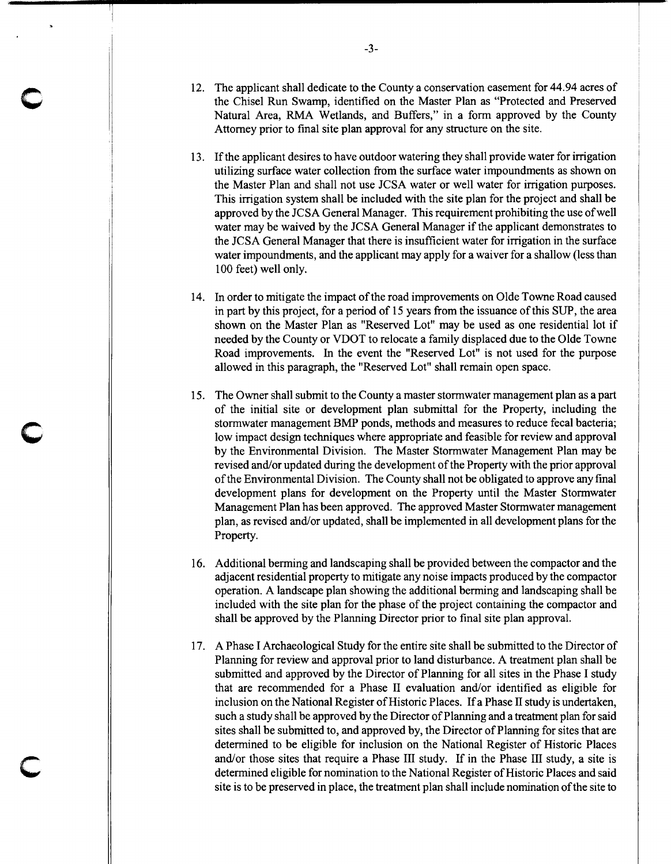- 12. The applicant shall dedicate to the County a conservation easement for 44.94 acres of the Chisel Run Swamp, identified on the Master Plan as "Protected and Preserved Natural Area, RMA Wetlands, and Buffers," in a form approved by the County Attorney prior to final site plan approval for any structure on the site.
- 13. If the applicant desires to have outdoor watering they shall provide water for irrigation utilizing surface water collection from the surface water impoundments as shown on the Master Plan and shall not use JCSA water or well water for irrigation purposes. This irrigation system shall be included with the site plan for the project and shall be approved by the JCSA General Manager. This requirement prohibiting the use of well water may be waived by the JCSA General Manager if the applicant demonstrates to the JCSA General Manager that there is insufficient water for irrigation in the surface water impoundments, and the applicant may apply for a waiver for a shallow (less than 100 feet) well only.
- 14. In order to mitigate the impact of the road improvements on Olde Towne Road caused in part by this project, for a period of 15 years from the issuance of this SUP, the area shown on the Master Plan as "Reserved Lot" may be used as one residential lot if needed by the County or VDOT to relocate a family displaced due to the Olde Towne Road improvements. In the event the "Reserved Lot" is not used for the purpose allowed in this paragraph, the "Reserved Lot" shall remain open space.
- 15. The Owner shall submit to the County a master stormwater management plan as a part of the initial site or development plan submittal for the Property, including the stormwater management BMP ponds, methods and measures to reduce fecal bacteria; low impact design techniques where appropriate and feasible for review and approval by the Environmental Division. The Master Stormwater Management Plan may be revised and/or updated during the development of the Property with the prior approval of the Environmental Division. The County shall not be obligated to approve any final development plans for development on the Property until the Master Stormwater Management Plan has been approved. The approved Master Stormwater management plan, as revised and/or updated, shall be implemented in all development plans for the Property.
- 16. Additional berming and landscaping shall be provided between the compactor and the adjacent residential property to mitigate any noise impacts produced by the compactor operation. A landscape plan showing the additional berming and landscaping shall be included with the site plan for the phase of the project containing the compactor and shall be approved by the Planning Director prior to final site plan approval.
- 17. A Phase I Archaeological Study for the entire site shall be submitted to the Director of Planning for review and approval prior to land disturbance. A treatment plan shall be submitted and approved by the Director of Planning for all sites in the Phase I study that are recommended for a Phase II evaluation and/or identified as eligible for inclusion on the National Register of Historic Places. If a Phase II study is undertaken, such a study shall be approved by the Director of Planning and a treatment plan for said sites shall be submitted to, and approved by, the Director of Planning for sites that are determined to be eligible for inclusion on the National Register of Historic Places and/or those sites that require a Phase III study. If in the Phase III study, a site is determined eligible for nomination to the National Register of Historic Places and said site is to be preserved in place, the treatment plan shall include nomination of the site to

c

c

c